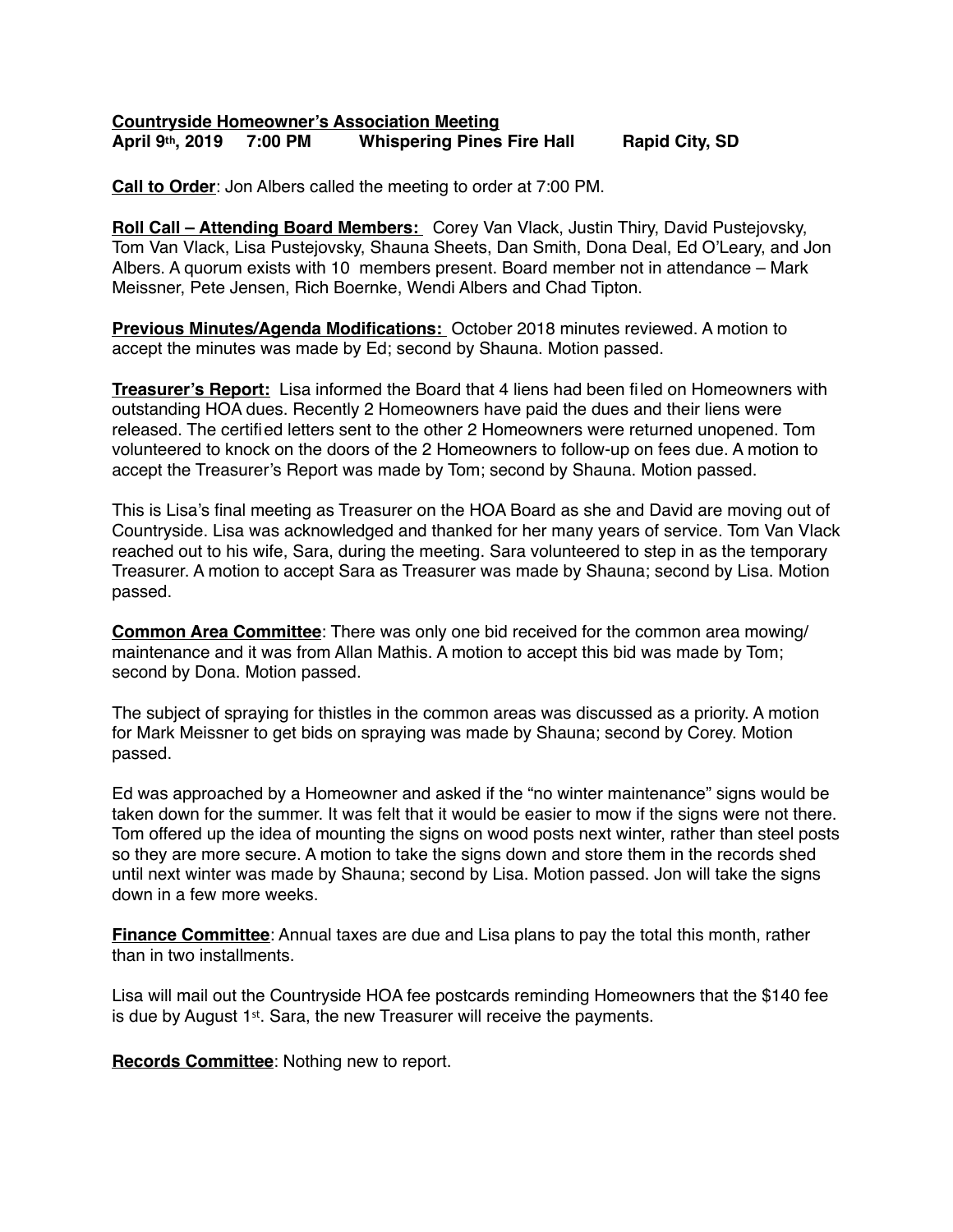## **Countryside Homeowner's Association Meeting April 9th, 2019 7:00 PM Whispering Pines Fire Hall Rapid City, SD**

**Call to Order**: Jon Albers called the meeting to order at 7:00 PM.

**Roll Call – Attending Board Members:** Corey Van Vlack, Justin Thiry, David Pustejovsky, Tom Van Vlack, Lisa Pustejovsky, Shauna Sheets, Dan Smith, Dona Deal, Ed O'Leary, and Jon Albers. A quorum exists with 10 members present. Board member not in attendance – Mark Meissner, Pete Jensen, Rich Boernke, Wendi Albers and Chad Tipton.

**Previous Minutes/Agenda Modifications:** October 2018 minutes reviewed. A motion to accept the minutes was made by Ed; second by Shauna. Motion passed.

**Treasurer's Report:** Lisa informed the Board that 4 liens had been filed on Homeowners with outstanding HOA dues. Recently 2 Homeowners have paid the dues and their liens were released. The certified letters sent to the other 2 Homeowners were returned unopened. Tom volunteered to knock on the doors of the 2 Homeowners to follow-up on fees due. A motion to accept the Treasurer's Report was made by Tom; second by Shauna. Motion passed.

This is Lisa's final meeting as Treasurer on the HOA Board as she and David are moving out of Countryside. Lisa was acknowledged and thanked for her many years of service. Tom Van Vlack reached out to his wife, Sara, during the meeting. Sara volunteered to step in as the temporary Treasurer. A motion to accept Sara as Treasurer was made by Shauna; second by Lisa. Motion passed.

**Common Area Committee**: There was only one bid received for the common area mowing/ maintenance and it was from Allan Mathis. A motion to accept this bid was made by Tom; second by Dona. Motion passed.

The subject of spraying for thistles in the common areas was discussed as a priority. A motion for Mark Meissner to get bids on spraying was made by Shauna; second by Corey. Motion passed.

Ed was approached by a Homeowner and asked if the "no winter maintenance" signs would be taken down for the summer. It was felt that it would be easier to mow if the signs were not there. Tom offered up the idea of mounting the signs on wood posts next winter, rather than steel posts so they are more secure. A motion to take the signs down and store them in the records shed until next winter was made by Shauna; second by Lisa. Motion passed. Jon will take the signs down in a few more weeks.

**Finance Committee**: Annual taxes are due and Lisa plans to pay the total this month, rather than in two installments.

Lisa will mail out the Countryside HOA fee postcards reminding Homeowners that the \$140 fee is due by August 1st. Sara, the new Treasurer will receive the payments.

**Records Committee:** Nothing new to report.